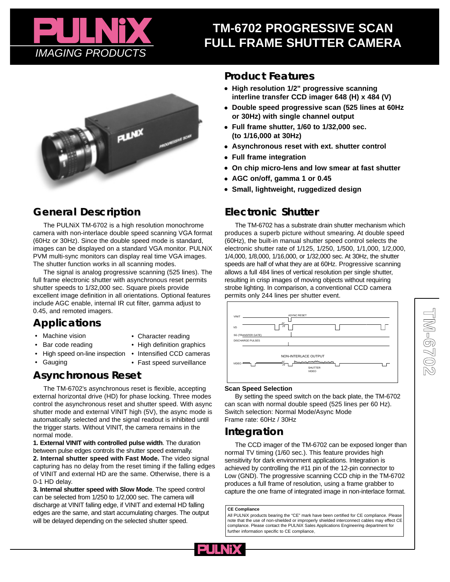

# **TM-6702 PROGRESSIVE SCAN FULL FRAME SHUTTER CAMERA**



## **General Descr General Description**

The PULNiX TM-6702 is a high resolution monochrome camera with non-interlace double speed scanning VGA format (60Hz or 30Hz). Since the double speed mode is standard, images can be displayed on a standard VGA monitor. PULNiX PVM multi-sync monitors can display real time VGA images. The shutter function works in all scanning modes.

The signal is analog progressive scanning (525 lines). The full frame electronic shutter with asynchronous reset permits shutter speeds to 1/32,000 sec. Square pixels provide excellent image definition in all orientations. Optional features include AGC enable, internal IR cut filter, gamma adjust to 0.45, and remoted imagers.

### **Applica Applications**

- Machine vision
- Character reading
- Bar code reading
- High definition graphics
- High speed on-line inspection
- **Gauging**
- Intensified CCD cameras
- Fast speed surveillance
- **Asynchr Asynchronous Reset onous Reset**

The TM-6702's asynchronous reset is flexible, accepting external horizontal drive (HD) for phase locking. Three modes control the asynchronous reset and shutter speed. With async shutter mode and external VINIT high (5V), the async mode is automatically selected and the signal readout is inhibited until the trigger starts. Without VINIT, the camera remains in the normal mode.

**1. External VINIT with controlled pulse width**. The duration between pulse edges controls the shutter speed externally. **2. Internal shutter speed with Fast Mode.** The video signal capturing has no delay from the reset timing if the falling edges of VINIT and external HD are the same. Otherwise, there is a 0-1 HD delay.

**3. Internal shutter speed with Slow Mode**. The speed control can be selected from 1/250 to 1/2,000 sec. The camera will discharge at VINIT falling edge, if VINIT and external HD falling edges are the same, and start accumulating charges. The output will be delayed depending on the selected shutter speed.

### **Product F oduct Features**

- **• High resolution 1/2" progressive scanning interline transfer CCD imager 648 (H) x 484 (V)**
- **• Double speed progressive scan (525 lines at 60Hz or 30Hz) with single channel output**
- **• Full frame shutter, 1/60 to 1/32,000 sec. (to 1/16,000 at 30Hz)**
- **• Asynchronous reset with ext. shutter control**
- **• Full frame integration**
- **• On chip micro-lens and low smear at fast shutter**
- **• AGC on/off, gamma 1 or 0.45**
- **• Small, lightweight, ruggedized design**

### **Electronic Shutter onic Shutter**

The TM-6702 has a substrate drain shutter mechanism which produces a superb picture without smearing. At double speed (60Hz), the built-in manual shutter speed control selects the electronic shutter rate of 1/125, 1/250, 1/500, 1/1,000, 1/2,000, 1/4,000, 1/8,000, 1/16,000, or 1/32,000 sec. At 30Hz, the shutter speeds are half of what they are at 60Hz. Progressive scanning allows a full 484 lines of vertical resolution per single shutter, resulting in crisp images of moving objects without requiring strobe lighting. In comparison, a conventional CCD camera permits only 244 lines per shutter event.



### **Scan Speed Selection**

By setting the speed switch on the back plate, the TM-6702 can scan with normal double speed (525 lines per 60 Hz). Switch selection: Normal Mode/Async Mode Frame rate: 60Hz / 30Hz

### **Integra Integration**

The CCD imager of the TM-6702 can be exposed longer than normal TV timing (1/60 sec.). This feature provides high sensitivity for dark environment applications. Integration is achieved by controlling the #11 pin of the 12-pin connector to Low (GND). The progressive scanning CCD chip in the TM-6702 produces a full frame of resolution, using a frame grabber to capture the one frame of integrated image in non-interlace format.

#### **CE Compliance**

All PULNiX products bearing the "CE" mark have been certified for CE compliance. Please note that the use of non-shielded or improperly shielded interconnect cables may effect CE complance. Please contact the PULNiX Sales Applications Engineering department for further information specific to CE compliance.